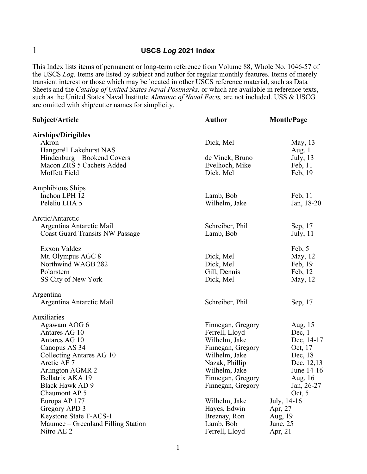## 1 **USCS** *Log* **2021 Index**

This Index lists items of permanent or long-term reference from Volume 88, Whole No. 1046-57 of the USCS *Log.* Items are listed by subject and author for regular monthly features. Items of merely transient interest or those which may be located in other USCS reference material, such as Data Sheets and the *Catalog of United States Naval Postmarks,* or which are available in reference texts, such as the United States Naval Institute *Almanac of Naval Facts,* are not included. USS & USCG are omitted with ship/cutter names for simplicity.

| Subject/Article                        | <b>Author</b>     | <b>Month/Page</b> |
|----------------------------------------|-------------------|-------------------|
| <b>Airships/Dirigibles</b>             |                   |                   |
| Akron                                  | Dick, Mel         | May, 13           |
| Hanger#1 Lakehurst NAS                 |                   | Aug, $1$          |
| Hindenburg – Bookend Covers            | de Vinck, Bruno   | July, $13$        |
| Macon ZRS 5 Cachets Added              | Evelhoch, Mike    | Feb, 11           |
| Moffett Field                          | Dick, Mel         | Feb, 19           |
| <b>Amphibious Ships</b>                |                   |                   |
| Inchon LPH 12                          | Lamb, Bob         | Feb, 11           |
| Peleliu LHA 5                          | Wilhelm, Jake     | Jan, 18-20        |
| Arctic/Antarctic                       |                   |                   |
| Argentina Antarctic Mail               | Schreiber, Phil   | Sep, 17           |
| <b>Coast Guard Transits NW Passage</b> | Lamb, Bob         | July, $11$        |
| Exxon Valdez                           |                   | Feb, 5            |
| Mt. Olympus AGC 8                      | Dick, Mel         | May, 12           |
| Northwind WAGB 282                     | Dick, Mel         | Feb, 19           |
| Polarstern                             | Gill, Dennis      | Feb, 12           |
| SS City of New York                    | Dick, Mel         | May, 12           |
| Argentina                              |                   |                   |
| Argentina Antarctic Mail               | Schreiber, Phil   | Sep, 17           |
| Auxiliaries                            |                   |                   |
| Agawam AOG 6                           | Finnegan, Gregory | Aug, 15           |
| Antares AG 10                          | Ferrell, Lloyd    | Dec, 1            |
| Antares AG 10                          | Wilhelm, Jake     | Dec, 14-17        |
| Canopus AS 34                          | Finnegan, Gregory | Oct, 17           |
| Collecting Antares AG 10               | Wilhelm, Jake     | Dec, 18           |
| Arctic AF 7                            | Nazak, Phillip    | Dec, 12,13        |
| Arlington AGMR 2                       | Wilhelm, Jake     | June 14-16        |
| Bellatrix AKA 19                       | Finnegan, Gregory | Aug, 16           |
| Black Hawk AD 9                        | Finnegan, Gregory | Jan, 26-27        |
| Chaumont AP 5                          |                   | Oct, $5$          |
| Europa AP 177                          | Wilhelm, Jake     | July, 14-16       |
| Gregory APD 3                          | Hayes, Edwin      | Apr, 27           |
| Keystone State T-ACS-1                 | Breznay, Ron      | Aug, 19           |
| Maumee – Greenland Filling Station     | Lamb, Bob         | June, $25$        |
| Nitro AE 2                             | Ferrell, Lloyd    | Apr, $21$         |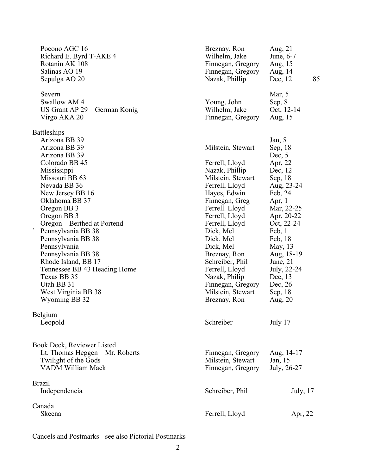| Pocono AGC 16<br>Richard E. Byrd T-AKE 4<br>Rotanin AK 108<br>Salinas AO 19<br>Sepulga AO 20                                                                                                                                                                                                                                                                                                                                                                         | Breznay, Ron<br>Wilhelm, Jake<br>Finnegan, Gregory<br>Finnegan, Gregory<br>Nazak, Phillip                                                                                                                                                                                                                                                                   | Aug, $21$<br>June, 6-7<br>Aug, 15<br>Aug, 14<br>85<br>Dec, 12                                                                                                                                                                                                          |
|----------------------------------------------------------------------------------------------------------------------------------------------------------------------------------------------------------------------------------------------------------------------------------------------------------------------------------------------------------------------------------------------------------------------------------------------------------------------|-------------------------------------------------------------------------------------------------------------------------------------------------------------------------------------------------------------------------------------------------------------------------------------------------------------------------------------------------------------|------------------------------------------------------------------------------------------------------------------------------------------------------------------------------------------------------------------------------------------------------------------------|
| Severn<br>Swallow AM 4<br>US Grant AP 29 – German Konig<br>Virgo AKA 20                                                                                                                                                                                                                                                                                                                                                                                              | Young, John<br>Wilhelm, Jake<br>Finnegan, Gregory                                                                                                                                                                                                                                                                                                           | Mar, 5<br>Sep, $8$<br>Oct, 12-14<br>Aug, 15                                                                                                                                                                                                                            |
| <b>Battleships</b><br>Arizona BB 39<br>Arizona BB 39<br>Arizona BB 39<br>Colorado BB 45<br>Mississippi<br>Missouri BB 63<br>Nevada BB 36<br>New Jersey BB 16<br>Oklahoma BB 37<br>Oregon BB 3<br>Oregon BB 3<br>Oregon – Berthed at Portend<br>Pennsylvania BB 38<br>Pennsylvania BB 38<br>Pennsylvania<br>Pennsylvania BB 38<br>Rhode Island, BB 17<br>Tennessee BB 43 Heading Home<br>Texas BB 35<br>Utah BB 31<br>West Virginia BB 38<br>Wyoming BB 32<br>Belgium | Milstein, Stewart<br>Ferrell, Lloyd<br>Nazak, Phillip<br>Milstein, Stewart<br>Ferrell, Lloyd<br>Hayes, Edwin<br>Finnegan, Greg<br>Ferrell. Lloyd<br>Ferrell, Lloyd<br>Ferrell, Lloyd<br>Dick, Mel<br>Dick, Mel<br>Dick, Mel<br>Breznay, Ron<br>Schreiber, Phil<br>Ferrell, Lloyd<br>Nazak, Philip<br>Finnegan, Gregory<br>Milstein, Stewart<br>Breznay, Ron | Jan, $5$<br>Sep, 18<br>Dec, $5$<br>Apr, 22<br>Dec, 12<br>Sep, 18<br>Aug, 23-24<br>Feb, 24<br>Apr, $1$<br>Mar, 22-25<br>Apr, 20-22<br>Oct, 22-24<br>Feb, 1<br>Feb, 18<br>May, 13<br>Aug, 18-19<br>June, $21$<br>July, 22-24<br>Dec, 13<br>Dec, 26<br>Sep, 18<br>Aug, 20 |
| Leopold                                                                                                                                                                                                                                                                                                                                                                                                                                                              | Schreiber                                                                                                                                                                                                                                                                                                                                                   | July 17                                                                                                                                                                                                                                                                |
| Book Deck, Reviewer Listed<br>Lt. Thomas Heggen - Mr. Roberts<br>Twilight of the Gods<br><b>VADM William Mack</b>                                                                                                                                                                                                                                                                                                                                                    | Finnegan, Gregory<br>Milstein, Stewart<br>Finnegan, Gregory                                                                                                                                                                                                                                                                                                 | Aug, 14-17<br>Jan, 15<br>July, 26-27                                                                                                                                                                                                                                   |
| <b>Brazil</b><br>Independencia                                                                                                                                                                                                                                                                                                                                                                                                                                       | Schreiber, Phil                                                                                                                                                                                                                                                                                                                                             | July, 17                                                                                                                                                                                                                                                               |
| Canada<br>Skeena                                                                                                                                                                                                                                                                                                                                                                                                                                                     | Ferrell, Lloyd                                                                                                                                                                                                                                                                                                                                              | Apr, 22                                                                                                                                                                                                                                                                |

Cancels and Postmarks - see also Pictorial Postmarks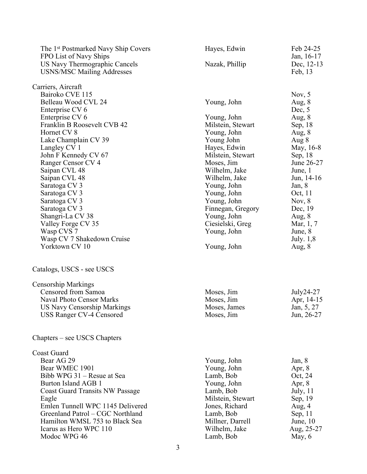| The 1 <sup>st</sup> Postmarked Navy Ship Covers<br>FPO List of Navy Ships | Hayes, Edwin      | Feb 24-25<br>Jan, 16-17 |
|---------------------------------------------------------------------------|-------------------|-------------------------|
| US Navy Thermographic Cancels<br><b>USNS/MSC Mailing Addresses</b>        | Nazak, Phillip    | Dec, 12-13<br>Feb, 13   |
| Carriers, Aircraft                                                        |                   |                         |
| Bairoko CVE 115                                                           |                   | Nov, $5$                |
| Belleau Wood CVL 24                                                       | Young, John       | Aug, 8                  |
| Enterprise CV 6                                                           |                   | Dec, $5$                |
| Enterprise CV 6                                                           | Young, John       | Aug, 8                  |
| Franklin B Roosevelt CVB 42                                               | Milstein, Stewart | Sep, 18                 |
| Hornet CV 8                                                               | Young, John       | Aug, 8                  |
| Lake Champlain CV 39                                                      | Young John        | Aug 8                   |
| Langley CV 1                                                              | Hayes, Edwin      | May, 16-8               |
| John F Kennedy CV 67                                                      | Milstein, Stewart | Sep, 18                 |
| Ranger Censor CV 4                                                        | Moses, Jim        | June 26-27              |
| Saipan CVL 48                                                             | Wilhelm, Jake     | June, 1                 |
| Saipan CVL 48                                                             | Wilhelm, Jake     | Jun, $14-16$            |
| Saratoga CV 3                                                             | Young, John       | Jan, $8$                |
| Saratoga CV 3                                                             | Young, John       | Oct, 11                 |
| Saratoga CV 3                                                             | Young, John       | Nov, $8$                |
| Saratoga CV 3                                                             | Finnegan, Gregory | Dec, 19                 |
| Shangri-La CV 38                                                          | Young, John       | Aug, 8                  |
| Valley Forge CV 35                                                        | Ciesielski, Greg  | Mar, 1, 7               |
| Wasp CVS 7                                                                | Young, John       | June, 8                 |
| Wasp CV 7 Shakedown Cruise                                                |                   | July. $1,8$             |
| Yorktown CV 10                                                            | Young, John       | Aug, $8$                |
| Catalogs, USCS - see USCS                                                 |                   |                         |
| <b>Censorship Markings</b>                                                |                   |                         |
| Censored from Samoa                                                       | Moses, Jim        | July24-27               |
| Naval Photo Censor Marks                                                  | Moses, Jim        | Apr, 14-15              |
| <b>US Navy Censorship Markings</b>                                        | Moses, James      | Jan, 5, 27              |
| <b>USS Ranger CV-4 Censored</b>                                           | Moses, Jim        | Jun, 26-27              |
| Chapters – see USCS Chapters                                              |                   |                         |
| Coast Guard                                                               |                   |                         |
| Bear AG 29                                                                | Young, John       | Jan, $8$                |
| Bear WMEC 1901                                                            | Young, John       | Apr, $8$                |
| Bibb WPG 31 – Resue at Sea                                                | Lamb, Bob         | Oct, 24                 |
| Burton Island AGB 1                                                       | Young, John       | Apr, $8$                |
| <b>Coast Guard Transits NW Passage</b>                                    | Lamb, Bob         | July, $11$              |
| Eagle                                                                     | Milstein, Stewart | Sep, 19                 |
| Emlen Tunnell WPC 1145 Delivered                                          | Jones, Richard    | Aug, $4$                |
| Greenland Patrol - CGC Northland                                          | Lamb, Bob         | Sep, 11                 |
| Hamilton WMSL 753 to Black Sea                                            | Millner, Darrell  | June, $10$              |
| Icarus as Hero WPC 110                                                    | Wilhelm, Jake     | Aug, 25-27              |
| Modoc WPG 46                                                              | Lamb, Bob         | May, $6$                |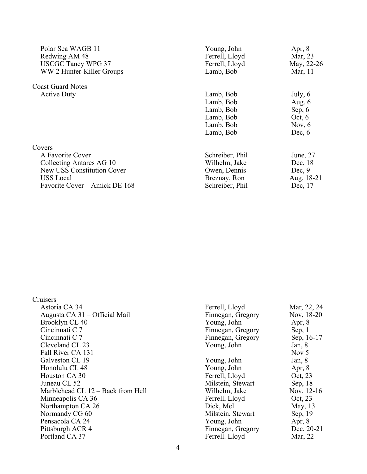| Polar Sea WAGB 11<br>Redwing AM 48<br><b>USCGC Taney WPG 37</b><br>WW 2 Hunter-Killer Groups | Young, John<br>Ferrell, Lloyd<br>Ferrell, Lloyd<br>Lamb, Bob | Apr, $8$<br>Mar, 23<br>May, 22-26<br>Mar, 11 |
|----------------------------------------------------------------------------------------------|--------------------------------------------------------------|----------------------------------------------|
| <b>Coast Guard Notes</b>                                                                     |                                                              |                                              |
| <b>Active Duty</b>                                                                           | Lamb, Bob                                                    | July, $6$                                    |
|                                                                                              | Lamb, Bob                                                    | Aug, $6$                                     |
|                                                                                              | Lamb, Bob                                                    | Sep, $6$                                     |
|                                                                                              | Lamb, Bob                                                    | Oct, $6$                                     |
|                                                                                              | Lamb, Bob                                                    | Nov, $6$                                     |
|                                                                                              | Lamb, Bob                                                    | Dec, $6$                                     |
| Covers                                                                                       |                                                              |                                              |
| A Favorite Cover                                                                             | Schreiber, Phil                                              | June, 27                                     |
| Collecting Antares AG 10                                                                     | Wilhelm, Jake                                                | Dec, 18                                      |
| New USS Constitution Cover                                                                   | Owen, Dennis                                                 | Dec, 9                                       |
| <b>USS</b> Local                                                                             | Breznay, Ron                                                 | Aug, 18-21                                   |
| Favorite Cover – Amick DE 168                                                                | Schreiber, Phil                                              | Dec, 17                                      |

| Cruisers                          |                   |             |
|-----------------------------------|-------------------|-------------|
| Astoria CA 34                     | Ferrell, Lloyd    | Mar, 22, 24 |
| Augusta CA 31 – Official Mail     | Finnegan, Gregory | Nov, 18-20  |
| Brooklyn CL 40                    | Young, John       | Apr, $8$    |
| Cincinnati C 7                    | Finnegan, Gregory | Sep, $1$    |
| Cincinnati C 7                    | Finnegan, Gregory | Sep. 16-17  |
| Cleveland CL 23                   | Young, John       | Jan, $8$    |
| Fall River CA 131                 |                   | Nov $5$     |
| Galveston CL 19                   | Young, John       | Jan, $8$    |
| Honolulu CL 48                    | Young, John       | Apr, $8$    |
| Houston CA 30                     | Ferrell, Lloyd    | Oct, 23     |
| Juneau CL 52                      | Milstein, Stewart | Sep, $18$   |
| Marblehead CL 12 – Back from Hell | Wilhelm, Jake     | Nov, 12-16  |
| Minneapolis CA 36                 | Ferrell, Lloyd    | Oct, 23     |
| Northampton CA 26                 | Dick, Mel         | May, 13     |
| Normandy CG 60                    | Milstein, Stewart | Sep, 19     |
| Pensacola CA 24                   | Young, John       | Apr, $8$    |
| Pittsburgh ACR 4                  | Finnegan, Gregory | Dec, 20-21  |
| Portland CA 37                    | Ferrell. Lloyd    | Mar, 22     |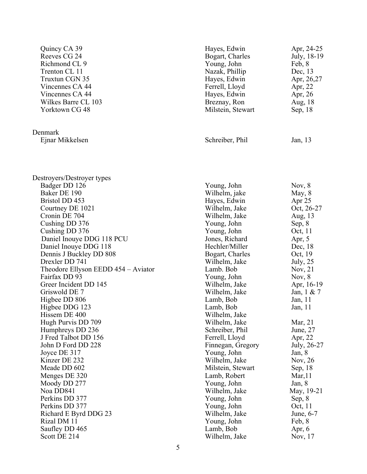| Quincy CA 39<br>Reeves CG 24<br>Richmond CL 9<br>Trenton CL 11<br>Truxtun CGN 35<br>Vincennes CA 44<br>Vincennes CA 44<br>Wilkes Barre CL 103<br>Yorktown CG 48 | Hayes, Edwin<br>Bogart, Charles<br>Young, John<br>Nazak, Phillip<br>Hayes, Edwin<br>Ferrell, Lloyd<br>Hayes, Edwin<br>Breznay, Ron<br>Milstein, Stewart | Apr, 24-25<br>July, 18-19<br>Feb, 8<br>Dec, 13<br>Apr, 26,27<br>Apr, 22<br>Apr, 26<br>Aug, 18<br>Sep, 18 |
|-----------------------------------------------------------------------------------------------------------------------------------------------------------------|---------------------------------------------------------------------------------------------------------------------------------------------------------|----------------------------------------------------------------------------------------------------------|
| Denmark<br>Ejnar Mikkelsen                                                                                                                                      | Schreiber, Phil                                                                                                                                         | Jan, 13                                                                                                  |
| Destroyers/Destroyer types<br>Badger DD 126                                                                                                                     | Young, John                                                                                                                                             | Nov, $8$                                                                                                 |
| Baker DE 190                                                                                                                                                    | Wilhelm, jake                                                                                                                                           | May, 8                                                                                                   |
| <b>Bristol DD 453</b>                                                                                                                                           | Hayes, Edwin                                                                                                                                            | Apr 25                                                                                                   |
| Courtney DE 1021                                                                                                                                                | Wilhelm, Jake                                                                                                                                           | Oct, 26-27                                                                                               |
| Cronin DE 704                                                                                                                                                   | Wilhelm, Jake                                                                                                                                           | Aug, 13                                                                                                  |
| Cushing DD 376                                                                                                                                                  | Young, John                                                                                                                                             | Sep, 8                                                                                                   |
| Cushing DD 376                                                                                                                                                  | Young, John                                                                                                                                             | Oct, 11                                                                                                  |
| Daniel Inouye DDG 118 PCU                                                                                                                                       | Jones, Richard                                                                                                                                          | Apr, $5$                                                                                                 |
| Daniel Inouye DDG 118                                                                                                                                           | Hechler/Miller                                                                                                                                          | Dec, 18                                                                                                  |
| Dennis J Buckley DD 808                                                                                                                                         | Bogart, Charles                                                                                                                                         | Oct, 19                                                                                                  |
| Drexler DD 741                                                                                                                                                  | Wilhelm, Jake                                                                                                                                           | July, $25$                                                                                               |
| Theodore Ellyson EEDD 454 – Aviator                                                                                                                             | Lamb. Bob                                                                                                                                               | Nov, $21$                                                                                                |
| Fairfax DD 93                                                                                                                                                   | Young, John                                                                                                                                             | Nov, $8$                                                                                                 |
| Greer Incident DD 145                                                                                                                                           | Wilhelm, Jake                                                                                                                                           | Apr, 16-19                                                                                               |
| Griswold DE 7                                                                                                                                                   | Wilhelm, Jake                                                                                                                                           | Jan, $1 \& 7$                                                                                            |
| Higbee DD 806                                                                                                                                                   | Lamb, Bob                                                                                                                                               | Jan, 11                                                                                                  |
| Higbee DDG 123                                                                                                                                                  | Lamb, Bob                                                                                                                                               | Jan, $11$                                                                                                |
| Hissem DE 400                                                                                                                                                   | Wilhelm, Jake                                                                                                                                           |                                                                                                          |
| Hugh Purvis DD 709                                                                                                                                              | Wilhelm, Jake                                                                                                                                           | Mar, 21                                                                                                  |
| Humphreys DD 236                                                                                                                                                | Schreiber, Phil                                                                                                                                         | June, 27                                                                                                 |
| J Fred Talbot DD 156                                                                                                                                            | Ferrell, Lloyd                                                                                                                                          | Apr, 22                                                                                                  |
| John D Ford DD 228                                                                                                                                              | Finnegan, Gregory                                                                                                                                       | July, 26-27                                                                                              |
| Joyce DE 317                                                                                                                                                    | Young, John                                                                                                                                             | Jan, 8                                                                                                   |
| Kinzer DE 232                                                                                                                                                   | Wilhelm, Jake                                                                                                                                           | Nov, $26$                                                                                                |
| Meade DD 602                                                                                                                                                    | Milstein, Stewart                                                                                                                                       | Sep, 18                                                                                                  |
| Menges DE 320                                                                                                                                                   | Lamb, Robert                                                                                                                                            | Mar, 11                                                                                                  |
| Moody DD 277                                                                                                                                                    | Young, John                                                                                                                                             | Jan, $8$                                                                                                 |
| Noa DD841                                                                                                                                                       | Wilhelm, Jake                                                                                                                                           | May, 19-21                                                                                               |
| Perkins DD 377                                                                                                                                                  | Young, John                                                                                                                                             | Sep, 8                                                                                                   |
| Perkins DD 377                                                                                                                                                  | Young, John                                                                                                                                             | Oct, 11                                                                                                  |
| Richard E Byrd DDG 23                                                                                                                                           | Wilhelm, Jake                                                                                                                                           | June, 6-7                                                                                                |
| Rizal DM 11                                                                                                                                                     | Young, John                                                                                                                                             | Feb, 8                                                                                                   |
| Saufley DD 465                                                                                                                                                  | Lamb, Bob                                                                                                                                               | Apr, $6$                                                                                                 |
| Scott DE 214                                                                                                                                                    | Wilhelm, Jake                                                                                                                                           | Nov, 17                                                                                                  |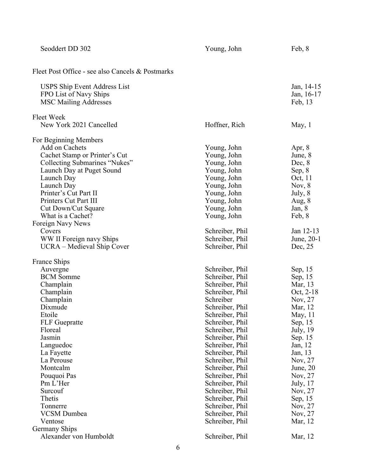| Seoddert DD 302                                                                                                                                                                                                                                                                                                                                                  | Young, John                                                                                                                                                                                                                                                                                            | Feb, 8                                                                                                                                                                              |
|------------------------------------------------------------------------------------------------------------------------------------------------------------------------------------------------------------------------------------------------------------------------------------------------------------------------------------------------------------------|--------------------------------------------------------------------------------------------------------------------------------------------------------------------------------------------------------------------------------------------------------------------------------------------------------|-------------------------------------------------------------------------------------------------------------------------------------------------------------------------------------|
| Fleet Post Office - see also Cancels & Postmarks                                                                                                                                                                                                                                                                                                                 |                                                                                                                                                                                                                                                                                                        |                                                                                                                                                                                     |
| USPS Ship Event Address List<br>FPO List of Navy Ships<br><b>MSC Mailing Addresses</b>                                                                                                                                                                                                                                                                           |                                                                                                                                                                                                                                                                                                        | Jan, 14-15<br>Jan, 16-17<br>Feb, 13                                                                                                                                                 |
| Fleet Week                                                                                                                                                                                                                                                                                                                                                       |                                                                                                                                                                                                                                                                                                        |                                                                                                                                                                                     |
| New York 2021 Cancelled                                                                                                                                                                                                                                                                                                                                          | Hoffner, Rich                                                                                                                                                                                                                                                                                          | May, $1$                                                                                                                                                                            |
| For Beginning Members<br>Add on Cachets<br>Cachet Stamp or Printer's Cut<br>Collecting Submarines "Nukes"<br>Launch Day at Puget Sound<br>Launch Day<br>Launch Day<br>Printer's Cut Part II<br>Printers Cut Part III<br>Cut Down/Cut Square<br>What is a Cachet?<br>Foreign Navy News<br>Covers<br>WW II Foreign navy Ships<br><b>UCRA</b> – Medieval Ship Cover | Young, John<br>Young, John<br>Young, John<br>Young, John<br>Young, John<br>Young, John<br>Young, John<br>Young, John<br>Young, John<br>Young, John<br>Schreiber, Phil<br>Schreiber, Phil<br>Schreiber, Phil                                                                                            | Apr, $8$<br>June, 8<br>Dec, 8<br>Sep, 8<br>Oct, 11<br>Nov, $8$<br>July, 8<br>Aug, $8$<br>Jan, $8$<br>Feb, 8<br>Jan 12-13<br>June, 20-1<br>Dec, 25                                   |
|                                                                                                                                                                                                                                                                                                                                                                  |                                                                                                                                                                                                                                                                                                        |                                                                                                                                                                                     |
| France Ships<br>Auvergne                                                                                                                                                                                                                                                                                                                                         | Schreiber, Phil                                                                                                                                                                                                                                                                                        | Sep, 15                                                                                                                                                                             |
| <b>BCM</b> Somme<br>Champlain<br>Champlain<br>Champlain<br>Dixmude<br>Etoile<br><b>FLF</b> Guepratte<br>Floreal<br>Jasmin<br>Languedoc<br>La Fayette<br>La Perouse<br>Montcalm<br>Pouquoi Pas<br>Pm L'Her<br>Surcouf                                                                                                                                             | Schreiber, Phil<br>Schreiber, Phil<br>Schreiber, Phil<br>Schreiber<br>Schreiber, Phil<br>Schreiber, Phil<br>Schreiber, Phil<br>Schreiber, Phil<br>Schreiber, Phil<br>Schreiber, Phil<br>Schreiber, Phil<br>Schreiber, Phil<br>Schreiber, Phil<br>Schreiber, Phil<br>Schreiber, Phil<br>Schreiber, Phil | Sep, 15<br>Mar, 13<br>Oct, 2-18<br>Nov, 27<br>Mar, 12<br>May, 11<br>Sep, 15<br>July, 19<br>Sep. 15<br>Jan, 12<br>Jan, 13<br>Nov, 27<br>June, $20$<br>Nov, 27<br>July, 17<br>Nov, 27 |
| Thetis                                                                                                                                                                                                                                                                                                                                                           | Schreiber, Phil                                                                                                                                                                                                                                                                                        | Sep, 15                                                                                                                                                                             |
| Tonnerre                                                                                                                                                                                                                                                                                                                                                         | Schreiber, Phil                                                                                                                                                                                                                                                                                        | Nov, 27                                                                                                                                                                             |
| <b>VCSM</b> Dumbea                                                                                                                                                                                                                                                                                                                                               | Schreiber, Phil                                                                                                                                                                                                                                                                                        | Nov, 27                                                                                                                                                                             |
| Ventose                                                                                                                                                                                                                                                                                                                                                          | Schreiber, Phil                                                                                                                                                                                                                                                                                        | Mar, 12                                                                                                                                                                             |
| Germany Ships<br>Alexander von Humboldt                                                                                                                                                                                                                                                                                                                          | Schreiber, Phil                                                                                                                                                                                                                                                                                        | Mar, 12                                                                                                                                                                             |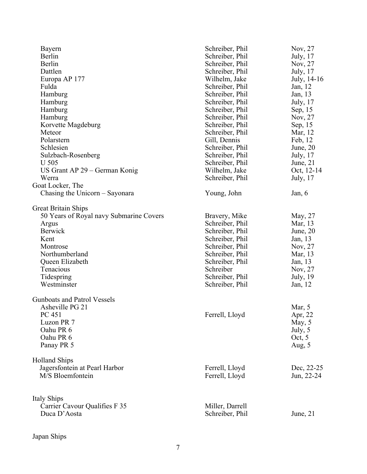| Bayern                                  | Schreiber, Phil | Nov, 27     |
|-----------------------------------------|-----------------|-------------|
| Berlin                                  | Schreiber, Phil | July, 17    |
| Berlin                                  | Schreiber, Phil | Nov, 27     |
| Dattlen                                 | Schreiber, Phil | July, 17    |
| Europa AP 177                           | Wilhelm, Jake   | July, 14-16 |
| Fulda                                   | Schreiber, Phil | Jan, 12     |
| Hamburg                                 | Schreiber, Phil | Jan, 13     |
| Hamburg                                 | Schreiber, Phil | July, 17    |
| Hamburg                                 | Schreiber, Phil | Sep, 15     |
| Hamburg                                 | Schreiber, Phil | Nov, 27     |
| Korvette Magdeburg                      | Schreiber, Phil | Sep, 15     |
| Meteor                                  | Schreiber, Phil | Mar, 12     |
| Polarstern                              | Gill, Dennis    | Feb, 12     |
| Schlesien                               | Schreiber, Phil | June, $20$  |
| Sulzbach-Rosenberg                      | Schreiber, Phil | July, 17    |
| <b>U</b> 505                            | Schreiber, Phil | June, $21$  |
| US Grant AP 29 – German Konig           | Wilhelm, Jake   | Oct, 12-14  |
| Werra                                   | Schreiber, Phil | July, 17    |
|                                         |                 |             |
| Goat Locker, The                        |                 |             |
| Chasing the Unicorn – Sayonara          | Young, John     | Jan, $6$    |
| <b>Great Britain Ships</b>              |                 |             |
| 50 Years of Royal navy Submarine Covers | Bravery, Mike   | May, 27     |
| Argus                                   | Schreiber, Phil | Mar, 13     |
| <b>Berwick</b>                          | Schreiber, Phil | June, $20$  |
| Kent                                    | Schreiber, Phil | Jan, 13     |
| Montrose                                | Schreiber, Phil | Nov, 27     |
| Northumberland                          | Schreiber, Phil | Mar, 13     |
| Queen Elizabeth                         | Schreiber, Phil | Jan, 13     |
| Tenacious                               | Schreiber       | Nov, 27     |
| Tidespring                              | Schreiber, Phil | July, 19    |
| Westminster                             | Schreiber, Phil | Jan, 12     |
|                                         |                 |             |
| Gunboats and Patrol Vessels             |                 |             |
| Asheville PG 21                         |                 | Mar, 5      |
| PC 451                                  | Ferrell, Lloyd  | Apr, 22     |
| Luzon PR 7                              |                 | May, 5      |
| Oahu PR 6                               |                 | July, 5     |
| Oahu PR 6                               |                 | Oct, $5$    |
| Panay PR 5                              |                 | Aug, 5      |
| <b>Holland Ships</b>                    |                 |             |
| Jagersfontein at Pearl Harbor           | Ferrell, Lloyd  | Dec, 22-25  |
| M/S Bloemfontein                        | Ferrell, Lloyd  | Jun, 22-24  |
|                                         |                 |             |
|                                         |                 |             |
| Italy Ships                             |                 |             |
| Carrier Cavour Qualifies F 35           | Miller, Darrell |             |
| Duca D'Aosta                            | Schreiber, Phil | June, $21$  |
|                                         |                 |             |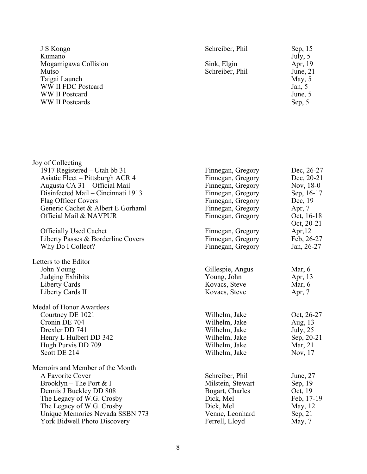| J S Kongo<br>Kumano<br>Mogamigawa Collision<br>Mutso<br>Taigai Launch<br>WW II FDC Postcard<br>WW II Postcard<br><b>WW</b> II Postcards | Schreiber, Phil<br>Sink, Elgin<br>Schreiber, Phil | Sep, 15<br>July, 5<br>Apr, 19<br>June, $21$<br>May, 5<br>Jan, $5$<br>June, 5<br>Sep, 5 |
|-----------------------------------------------------------------------------------------------------------------------------------------|---------------------------------------------------|----------------------------------------------------------------------------------------|
|                                                                                                                                         |                                                   |                                                                                        |
| Joy of Collecting                                                                                                                       |                                                   |                                                                                        |
| 1917 Registered – Utah bb 31<br>Asiatic Fleet – Pittsburgh ACR 4                                                                        | Finnegan, Gregory<br>Finnegan, Gregory            | Dec, 26-27<br>Dec, 20-21                                                               |
| Augusta CA 31 – Official Mail                                                                                                           | Finnegan, Gregory                                 | Nov, 18-0                                                                              |
| Disinfected Mail – Cincinnati 1913                                                                                                      | Finnegan, Gregory                                 | Sep, 16-17                                                                             |
| Flag Officer Covers                                                                                                                     | Finnegan, Gregory                                 | Dec, 19                                                                                |
| Generic Cachet & Albert E Gorhaml                                                                                                       | Finnegan, Gregory                                 | Apr, $7$                                                                               |
| Official Mail & NAVPUR                                                                                                                  | Finnegan, Gregory                                 | Oct, 16-18                                                                             |
| <b>Officially Used Cachet</b>                                                                                                           | Finnegan, Gregory                                 | Oct, 20-21<br>Apr, $12$                                                                |
| Liberty Passes & Borderline Covers                                                                                                      | Finnegan, Gregory                                 | Feb, 26-27                                                                             |
| Why Do I Collect?                                                                                                                       | Finnegan, Gregory                                 | Jan, 26-27                                                                             |
| Letters to the Editor                                                                                                                   |                                                   |                                                                                        |
| John Young                                                                                                                              | Gillespie, Angus                                  | Mar, $6$                                                                               |
| <b>Judging Exhibits</b>                                                                                                                 | Young, John                                       | Apr, 13                                                                                |
| Liberty Cards                                                                                                                           | Kovacs, Steve                                     | Mar, $6$                                                                               |
| Liberty Cards II                                                                                                                        | Kovacs, Steve                                     | Apr, 7                                                                                 |
| Medal of Honor Awardees                                                                                                                 |                                                   |                                                                                        |
| Courtney DE 1021                                                                                                                        | Wilhelm, Jake                                     | Oct, 26-27                                                                             |
| Cronin DE 704                                                                                                                           | Wilhelm, Jake                                     | Aug, 13                                                                                |
| Drexler DD 741                                                                                                                          | Wilhelm, Jake                                     | July, $25$                                                                             |
| Henry L Hulbert DD 342                                                                                                                  | Wilhelm, Jake                                     | Sep, 20-21                                                                             |
| Hugh Purvis DD 709<br>Scott DE 214                                                                                                      | Wilhelm, Jake<br>Wilhelm, Jake                    | Mar, 21<br>Nov, 17                                                                     |
|                                                                                                                                         |                                                   |                                                                                        |
| Memoirs and Member of the Month                                                                                                         |                                                   |                                                                                        |
| A Favorite Cover                                                                                                                        | Schreiber, Phil                                   | June, $27$                                                                             |
| Brooklyn – The Port $& 1$                                                                                                               | Milstein, Stewart                                 | Sep, 19                                                                                |
| Dennis J Buckley DD 808                                                                                                                 | Bogart, Charles                                   | Oct, 19                                                                                |
| The Legacy of W.G. Crosby<br>The Legacy of W.G. Crosby                                                                                  | Dick, Mel<br>Dick, Mel                            | Feb, 17-19<br>May, 12                                                                  |
| Unique Memories Nevada SSBN 773                                                                                                         | Venne, Leonhard                                   | Sep, $21$                                                                              |
| York Bidwell Photo Discovery                                                                                                            | Ferrell, Lloyd                                    | May, 7                                                                                 |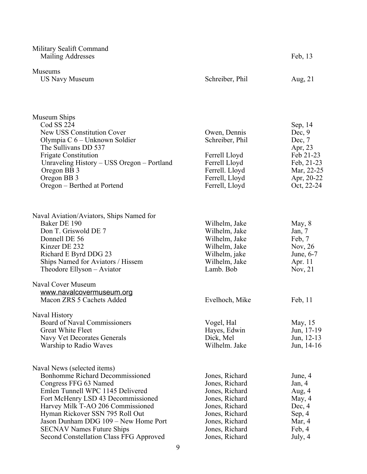| Military Sealift Command<br>Mailing Addresses                                                                                                                                                                                                                                                                                                                           |                                                                                                                                                                | Feb, 13                                                                                                         |
|-------------------------------------------------------------------------------------------------------------------------------------------------------------------------------------------------------------------------------------------------------------------------------------------------------------------------------------------------------------------------|----------------------------------------------------------------------------------------------------------------------------------------------------------------|-----------------------------------------------------------------------------------------------------------------|
| <b>Museums</b><br><b>US Navy Museum</b>                                                                                                                                                                                                                                                                                                                                 | Schreiber, Phil                                                                                                                                                | Aug, 21                                                                                                         |
| Museum Ships<br>Cod SS 224<br>New USS Constitution Cover<br>Olympia C 6 - Unknown Soldier<br>The Sullivans DD 537<br><b>Frigate Constitution</b><br>Unraveling History – USS Oregon – Portland<br>Oregon BB 3<br>Oregon BB 3<br>Oregon - Berthed at Portend                                                                                                             | Owen, Dennis<br>Schreiber, Phil<br>Ferrell Lloyd<br>Ferrell Lloyd<br>Ferrell. Lloyd<br>Ferrell, Lloyd<br>Ferrell, Lloyd                                        | Sep, 14<br>Dec, $9$<br>Dec, $7$<br>Apr, 23<br>Feb 21-23<br>Feb, 21-23<br>Mar, 22-25<br>Apr, 20-22<br>Oct, 22-24 |
| Naval Aviation/Aviators, Ships Named for<br>Baker DE 190<br>Don T. Griswold DE 7<br>Donnell DE 56<br>Kinzer DE 232<br>Richard E Byrd DDG 23<br>Ships Named for Aviators / Hissem<br>Theodore Ellyson - Aviator                                                                                                                                                          | Wilhelm, Jake<br>Wilhelm, Jake<br>Wilhelm, Jake<br>Wilhelm, Jake<br>Wilhelm, jake<br>Wilhelm, Jake<br>Lamb. Bob                                                | May, $8$<br>Jan, $7$<br>Feb, 7<br>Nov, $26$<br>June, 6-7<br>Apr. 11<br>Nov, $21$                                |
| Naval Cover Museum<br>www.navalcovermuseum.org<br>Macon ZRS 5 Cachets Added                                                                                                                                                                                                                                                                                             | Evelhoch, Mike                                                                                                                                                 | Feb, $11$                                                                                                       |
| Naval History<br>Board of Naval Commissioners<br><b>Great White Fleet</b><br>Navy Vet Decorates Generals<br>Warship to Radio Waves                                                                                                                                                                                                                                      | Vogel, Hal<br>Hayes, Edwin<br>Dick, Mel<br>Wilhelm. Jake                                                                                                       | May, 15<br>Jun, 17-19<br>Jun, 12-13<br>Jun, 14-16                                                               |
| Naval News (selected items)<br><b>Bonhomme Richard Decommissioned</b><br>Congress FFG 63 Named<br>Emlen Tunnell WPC 1145 Delivered<br>Fort McHenry LSD 43 Decommissioned<br>Harvey Milk T-AO 206 Commissioned<br>Hyman Rickover SSN 795 Roll Out<br>Jason Dunham DDG 109 - New Home Port<br><b>SECNAV Names Future Ships</b><br>Second Constellation Class FFG Approved | Jones, Richard<br>Jones, Richard<br>Jones, Richard<br>Jones, Richard<br>Jones, Richard<br>Jones, Richard<br>Jones, Richard<br>Jones, Richard<br>Jones, Richard | June, 4<br>Jan, 4<br>Aug, 4<br>May, 4<br>Dec, 4<br>Sep, 4<br>Mar, 4<br>Feb, 4<br>July, 4                        |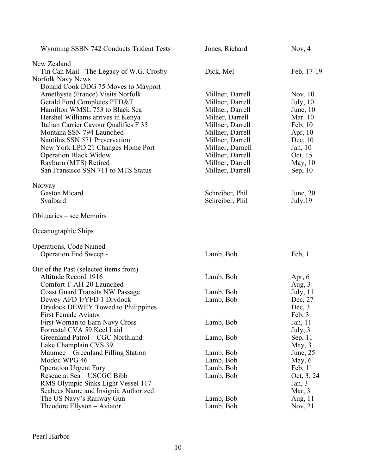| Wyoming SSBN 742 Conducts Trident Tests                           | Jones, Richard                       | Nov, $4$               |
|-------------------------------------------------------------------|--------------------------------------|------------------------|
| New Zealand                                                       |                                      |                        |
| Tin Can Mail - The Legacy of W.G. Crosby                          | Dick, Mel                            | Feb, 17-19             |
| Norfolk Navy News                                                 |                                      |                        |
| Donald Cook DDG 75 Moves to Mayport                               |                                      |                        |
| Amethyste (France) Visits Norfolk                                 | Millner, Darrell                     | Nov, $10$              |
| Gerald Ford Completes PTD&T                                       | Millner, Darrell                     | July, $10$             |
| Hamilton WMSL 753 to Black Sea                                    | Millner, Darrell                     | June, $10$             |
| Hershel Williams arrives in Kenya                                 | Milner, Darrell                      | Mar. 10                |
| Italian Carrier Cavour Qualifies F 35<br>Montana SSN 794 Launched | Millner, Darrell                     | Feb, 10                |
| Nautilus SSN 571 Preservation                                     | Millner, Darrell<br>Millner, Darrell | Apr, $10$<br>Dec, $10$ |
| New York LPD 21 Changes Home Port                                 | Millner, Darnell                     | Jan, 10                |
| <b>Operation Black Widow</b>                                      | Millner, Darrell                     | Oct, 15                |
| Rayburn (MTS) Retired                                             | Millner, Darrell                     | May, $10$              |
| San Fransisco SSN 711 to MTS Status                               | Millner, Darrell                     | Sep, $10$              |
|                                                                   |                                      |                        |
| Norway                                                            |                                      |                        |
| <b>Gaston Micard</b>                                              | Schreiber, Phil                      | June, $20$             |
| Svalbard                                                          | Schreiber, Phil                      | July, 19               |
| Obituaries – see Memoirs                                          |                                      |                        |
| Oceanographic Ships                                               |                                      |                        |
| Operations, Code Named                                            |                                      |                        |
| Operation End Sweep -                                             | Lamb, Bob                            | Feb, 11                |
| Out of the Past (selected items from)                             |                                      |                        |
| Altitude Record 1916                                              | Lamb, Bob                            | Apr, $6$               |
| Comfort T-AH-20 Launched                                          |                                      | Aug, 3                 |
| <b>Coast Guard Transits NW Passage</b>                            | Lamb, Bob                            | July, 11               |
| Dewey AFD 1/YFD 1 Drydock                                         | Lamb, Bob                            | Dec, 27                |
| Drydock DEWEY Towed to Philippines                                |                                      | Dec, $3$               |
| First Female Aviator                                              |                                      | Feb, 3                 |
| First Woman to Earn Navy Cross                                    | Lamb, Bob                            | Jan, 11                |
| Forrestal CVA 59 Keel Laid<br>Greenland Patrol - CGC Northland    |                                      | July, $3$              |
| Lake Champlain CVS 39                                             | Lamb, Bob                            | Sep, 11<br>May, $3$    |
| Maumee – Greenland Filling Station                                | Lamb, Bob                            | June, $25$             |
| Modoc WPG 46                                                      | Lamb, Bob                            | May, $6$               |
| <b>Operation Urgent Fury</b>                                      | Lamb, Bob                            | Feb, 11                |
| Rescue at Sea – USCGC Bibb                                        | Lamb, Bob                            | Oct, 3, 24             |
| RMS Olympic Sinks Light Vessel 117                                |                                      | Jan, $3$               |
| Seabees Name and Insignia Authorized                              |                                      | Mar, $3$               |
| The US Navy's Railway Gun                                         | Lamb, Bob                            | Aug, 11                |
| Theodore Ellyson - Aviator                                        | Lamb. Bob                            | Nov, $21$              |
|                                                                   |                                      |                        |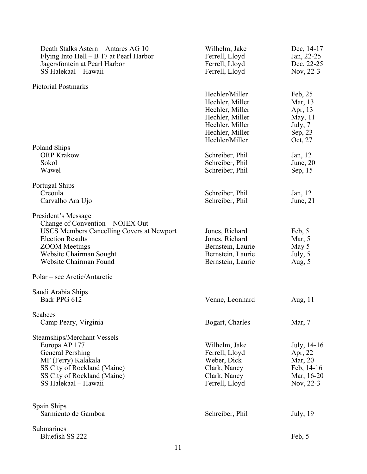| Death Stalks Astern - Antares AG 10<br>Flying Into Hell $- B 17$ at Pearl Harbor<br>Jagersfontein at Pearl Harbor<br>SS Halekaal - Hawaii                                                                    | Wilhelm, Jake<br>Ferrell, Lloyd<br>Ferrell, Lloyd<br>Ferrell, Lloyd                              | Dec, 14-17<br>Jan, 22-25<br>Dec, 22-25<br>Nov, 22-3                        |
|--------------------------------------------------------------------------------------------------------------------------------------------------------------------------------------------------------------|--------------------------------------------------------------------------------------------------|----------------------------------------------------------------------------|
| <b>Pictorial Postmarks</b>                                                                                                                                                                                   |                                                                                                  |                                                                            |
|                                                                                                                                                                                                              | Hechler/Miller<br>Hechler, Miller<br>Hechler, Miller<br>Hechler, Miller                          | Feb, 25<br>Mar, 13<br>Apr, 13<br>May, 11                                   |
|                                                                                                                                                                                                              | Hechler, Miller<br>Hechler, Miller<br>Hechler/Miller                                             | July, 7<br>Sep, 23<br>Oct, 27                                              |
| Poland Ships<br><b>ORP Krakow</b><br>Sokol                                                                                                                                                                   | Schreiber, Phil<br>Schreiber, Phil                                                               | Jan, 12<br>June, $20$                                                      |
| Wawel                                                                                                                                                                                                        | Schreiber, Phil                                                                                  | Sep, 15                                                                    |
| Portugal Ships<br>Creoula<br>Carvalho Ara Ujo                                                                                                                                                                | Schreiber, Phil<br>Schreiber, Phil                                                               | Jan, 12<br>June, 21                                                        |
|                                                                                                                                                                                                              |                                                                                                  |                                                                            |
| President's Message<br>Change of Convention – NOJEX Out<br>USCS Members Cancelling Covers at Newport<br><b>Election Results</b><br><b>ZOOM</b> Meetings<br>Website Chairman Sought<br>Website Chairman Found | Jones, Richard<br>Jones, Richard<br>Bernstein, Laurie<br>Bernstein, Laurie<br>Bernstein, Laurie  | Feb, 5<br>Mar, $5$<br>May 5<br>July, 5<br>Aug, $5$                         |
| Polar – see Arctic/Antarctic                                                                                                                                                                                 |                                                                                                  |                                                                            |
| Saudi Arabia Ships<br>Badr PPG 612                                                                                                                                                                           | Venne, Leonhard                                                                                  | Aug, 11                                                                    |
| Seabees<br>Camp Peary, Virginia                                                                                                                                                                              | Bogart, Charles                                                                                  | Mar, 7                                                                     |
| Steamships/Merchant Vessels<br>Europa AP 177<br><b>General Pershing</b><br>MF (Ferry) Kalakala<br>SS City of Rockland (Maine)<br>SS City of Rockland (Maine)<br>SS Halekaal - Hawaii                         | Wilhelm, Jake<br>Ferrell, Lloyd<br>Weber, Dick<br>Clark, Nancy<br>Clark, Nancy<br>Ferrell, Lloyd | July, 14-16<br>Apr, 22<br>Mar, 20<br>Feb, 14-16<br>Mar, 16-20<br>Nov, 22-3 |
| Spain Ships<br>Sarmiento de Gamboa                                                                                                                                                                           | Schreiber, Phil                                                                                  | July, 19                                                                   |
| Submarines<br>Bluefish SS 222                                                                                                                                                                                |                                                                                                  | Feb, 5                                                                     |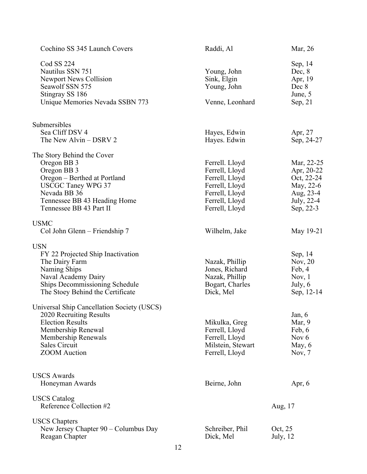| Cochino SS 345 Launch Covers                                                                                                             | Raddi, Al                                                    | Mar, 26                                                         |
|------------------------------------------------------------------------------------------------------------------------------------------|--------------------------------------------------------------|-----------------------------------------------------------------|
| Cod SS 224<br>Nautilus SSN 751<br><b>Newport News Collision</b><br>Seawolf SSN 575<br>Stingray SS 186<br>Unique Memories Nevada SSBN 773 | Young, John<br>Sink, Elgin<br>Young, John<br>Venne, Leonhard | Sep, 14<br>Dec, $8$<br>Apr, 19<br>Dec 8<br>June, 5<br>Sep, $21$ |
| Submersibles<br>Sea Cliff DSV 4                                                                                                          |                                                              |                                                                 |
| The New Alvin $-$ DSRV 2                                                                                                                 | Hayes, Edwin<br>Hayes. Edwin                                 | Apr, 27<br>Sep, 24-27                                           |
| The Story Behind the Cover                                                                                                               |                                                              |                                                                 |
| Oregon BB 3                                                                                                                              | Ferrell. Lloyd                                               | Mar, 22-25                                                      |
| Oregon BB 3                                                                                                                              | Ferrell, Lloyd                                               | Apr, 20-22                                                      |
| Oregon – Berthed at Portland                                                                                                             | Ferrell, Lloyd                                               | Oct, 22-24                                                      |
| <b>USCGC Taney WPG 37</b>                                                                                                                | Ferrell, Lloyd                                               | May, 22-6                                                       |
|                                                                                                                                          |                                                              |                                                                 |
| Nevada BB 36                                                                                                                             | Ferrell, Lloyd                                               | Aug, 23-4                                                       |
| Tennessee BB 43 Heading Home                                                                                                             | Ferrell, Lloyd                                               | July, 22-4                                                      |
| Tennessee BB 43 Part II                                                                                                                  | Ferrell, Lloyd                                               | Sep, 22-3                                                       |
| <b>USMC</b>                                                                                                                              |                                                              |                                                                 |
| Col John Glenn - Friendship 7                                                                                                            | Wilhelm, Jake                                                | May 19-21                                                       |
| <b>USN</b>                                                                                                                               |                                                              |                                                                 |
| FY 22 Projected Ship Inactivation                                                                                                        |                                                              | Sep, 14                                                         |
| The Dairy Farm                                                                                                                           | Nazak, Phillip                                               | Nov, $20$                                                       |
| Naming Ships                                                                                                                             | Jones, Richard                                               | Feb, 4                                                          |
| Naval Academy Dairy                                                                                                                      | Nazak, Phillip                                               | Nov, $1$                                                        |
| Ships Decommissioning Schedule                                                                                                           | Bogart, Charles                                              | July, 6                                                         |
| The Stoey Behind the Certificate                                                                                                         | Dick, Mel                                                    | Sep, 12-14                                                      |
|                                                                                                                                          |                                                              |                                                                 |
| Universal Ship Cancellation Society (USCS)                                                                                               |                                                              |                                                                 |
| 2020 Recruiting Results<br><b>Election Results</b>                                                                                       |                                                              | Jan, 6                                                          |
|                                                                                                                                          | Mikulka, Greg                                                | Mar, 9                                                          |
| Membership Renewal                                                                                                                       | Ferrell, Lloyd                                               | Feb, 6                                                          |
| Membership Renewals                                                                                                                      | Ferrell, Lloyd                                               | Nov 6                                                           |
| Sales Circuit                                                                                                                            | Milstein, Stewart                                            | May, 6                                                          |
| <b>ZOOM</b> Auction                                                                                                                      | Ferrell, Lloyd                                               | Nov, $7$                                                        |
|                                                                                                                                          |                                                              |                                                                 |
| <b>USCS Awards</b>                                                                                                                       |                                                              |                                                                 |
| Honeyman Awards                                                                                                                          | Beirne, John                                                 | Apr, $6$                                                        |
| <b>USCS</b> Catalog                                                                                                                      |                                                              |                                                                 |
| Reference Collection #2                                                                                                                  |                                                              | Aug, 17                                                         |
| <b>USCS Chapters</b>                                                                                                                     |                                                              |                                                                 |
| New Jersey Chapter 90 – Columbus Day                                                                                                     | Schreiber, Phil                                              | Oct, 25                                                         |
| Reagan Chapter                                                                                                                           | Dick, Mel                                                    | July, 12                                                        |
|                                                                                                                                          |                                                              |                                                                 |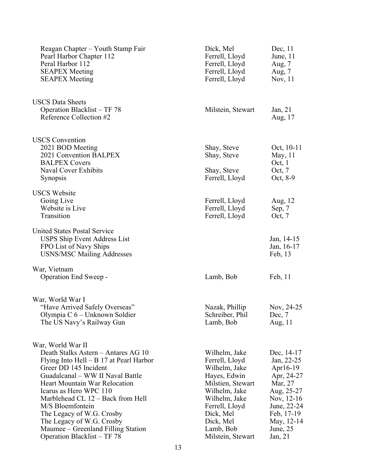| Reagan Chapter – Youth Stamp Fair<br>Pearl Harbor Chapter 112<br>Peral Harbor 112<br><b>SEAPEX Meeting</b><br><b>SEAPEX Meeting</b>                                                                                                                                                                                                                                                                                          | Dick, Mel<br>Ferrell, Lloyd<br>Ferrell, Lloyd<br>Ferrell, Lloyd<br>Ferrell, Lloyd                                                                                                                     | Dec, $11$<br>June, 11<br>Aug, $7$<br>Aug, 7<br>Nov, 11                                                                                                         |
|------------------------------------------------------------------------------------------------------------------------------------------------------------------------------------------------------------------------------------------------------------------------------------------------------------------------------------------------------------------------------------------------------------------------------|-------------------------------------------------------------------------------------------------------------------------------------------------------------------------------------------------------|----------------------------------------------------------------------------------------------------------------------------------------------------------------|
| <b>USCS Data Sheets</b><br>Operation Blacklist – TF 78<br>Reference Collection #2                                                                                                                                                                                                                                                                                                                                            | Milstein, Stewart                                                                                                                                                                                     | Jan, $21$<br>Aug, 17                                                                                                                                           |
| <b>USCS</b> Convention<br>2021 BOD Meeting<br>2021 Convention BALPEX<br><b>BALPEX Covers</b><br><b>Naval Cover Exhibits</b><br><b>Synopsis</b>                                                                                                                                                                                                                                                                               | Shay, Steve<br>Shay, Steve<br>Shay, Steve<br>Ferrell, Lloyd                                                                                                                                           | Oct, 10-11<br>May, 11<br>Oct, $1$<br>Oct, $7$<br>Oct, 8-9                                                                                                      |
| <b>USCS Website</b><br>Going Live<br>Website is Live<br>Transition                                                                                                                                                                                                                                                                                                                                                           | Ferrell, Lloyd<br>Ferrell, Lloyd<br>Ferrell, Lloyd                                                                                                                                                    | Aug, 12<br>Sep, 7<br>Oct, 7                                                                                                                                    |
| <b>United States Postal Service</b><br><b>USPS Ship Event Address List</b><br>FPO List of Navy Ships<br><b>USNS/MSC Mailing Addresses</b>                                                                                                                                                                                                                                                                                    |                                                                                                                                                                                                       | Jan, 14-15<br>Jan, 16-17<br>Feb, 13                                                                                                                            |
| War, Vietnam<br>Operation End Sweep -                                                                                                                                                                                                                                                                                                                                                                                        | Lamb, Bob                                                                                                                                                                                             | Feb, 11                                                                                                                                                        |
| War, World War I<br>"Have Arrived Safely Overseas"<br>Olympia C 6 – Unknown Soldier<br>The US Navy's Railway Gun                                                                                                                                                                                                                                                                                                             | Nazak, Phillip<br>Schreiber, Phil<br>Lamb, Bob                                                                                                                                                        | Nov, 24-25<br>Dec, 7<br>Aug, 11                                                                                                                                |
| War, World War II<br>Death Stalks Astern - Antares AG 10<br>Flying Into Hell $- B 17$ at Pearl Harbor<br>Greer DD 145 Incident<br>Guadalcanal – WW II Naval Battle<br><b>Heart Mountain War Relocation</b><br>Icarus as Hero WPC 110<br>Marblehead CL 12 - Back from Hell<br>M/S Bloemfontein<br>The Legacy of W.G. Crosby<br>The Legacy of W.G. Crosby<br>Maumee – Greenland Filling Station<br>Operation Blacklist – TF 78 | Wilhelm, Jake<br>Ferrell, Lloyd<br>Wilhelm, Jake<br>Hayes, Edwin<br>Milstien, Stewart<br>Wilhelm, Jake<br>Wilhelm, Jake<br>Ferrell, Lloyd<br>Dick, Mel<br>Dick, Mel<br>Lamb, Bob<br>Milstein, Stewart | Dec, 14-17<br>Jan, 22-25<br>Apr $16-19$<br>Apr, 24-27<br>Mar, 27<br>Aug, 25-27<br>Nov, 12-16<br>June, 22-24<br>Feb, 17-19<br>May, 12-14<br>June, 25<br>Jan, 21 |